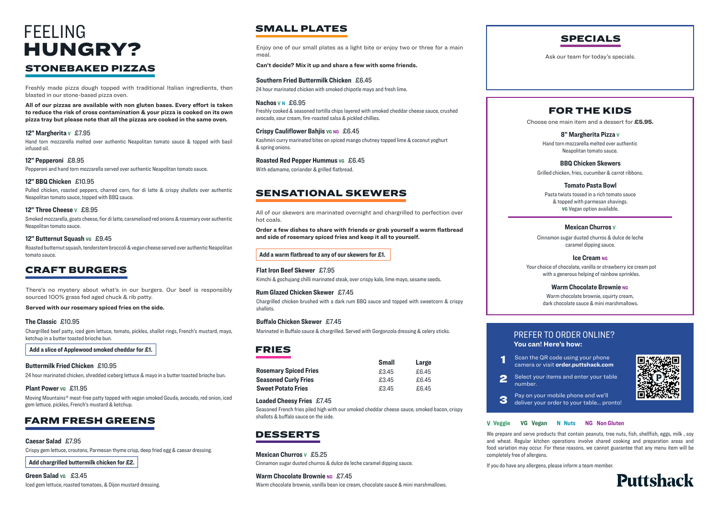Freshly cooked & seasoned tortilla chips layered with smoked cheddar cheese sauce, crushed avocado, sour cream, fire-roasted salsa & pickled chillies.

#### **Crispy Cauliflower Bahiis v<sub>G</sub> NG** £6.45

#### **Nachos V N** £6.95

24 hour marinated chicken with smoked chipotle mayo and fresh lime.

Kimchi & gochujang chilli marinated steak, over crispy kale, lime mayo, sesame seeds.

With edamame, coriander & grilled flatbread.

#### **Southern Fried Buttermilk Chicken** £6.45

#### **Flat Iron Beef Skewer** £7.95

Enjoy one of our small plates as a light bite or enjoy two or three for a main meal.

**Can't decide? Mix it up and share a few with some friends.**

## SMALL PLATES

### SENSATIONAL SKEWERS

There's no mystery about what's in our burgers. Our beef is responsibly sourced 100% grass fed aged chuck & rib patty.

**Served with our rosemary spiced fries on the side.**

Freshly made pizza dough topped with traditional Italian ingredients, then blasted in our stone-based pizza oven.

**All of our pizzas are available with non gluten bases. Every effort is taken to reduce the risk of cross contamination & your pizza is cooked on its own pizza tray but please note that all the pizzas are cooked in the same oven.**

> We prepare and serve products that contain peanuts, tree nuts, fish, shellfish, eggs, milk , soy and wheat. Regular kitchen operations involve shared cooking and preparation areas and food variation may occur. For these reasons, we cannot guarantee that any menu item will be completely free of allergens.

If you do have any allergens, please inform a team member.

### **V Veggie VG Vegan N Nuts NG Non Gluten**

Kashmiri curry marinated bites on spiced mango chutney topped lime & coconut yoghurt & spring onions.

#### **Roasted Red Pepper Hummus vG £6.45**

## FARM FRESH GREENS

### FRIES

Crispy gem lettuce, croutons, Parmesan thyme crisp, deep fried egg & caesar dressing.

**Add chargrilled buttermilk chicken for £2.**

#### **Caesar Salad** £7.95

| Green Salad vg £3.45 |                                                               |
|----------------------|---------------------------------------------------------------|
|                      | Iced gem lettuce, roasted tomatoes, & Dijon mustard dressing. |

Hand torn mozzarella melted over authentic Neapolitan tomato sauce & topped with basil infused oil.

#### **12" Margherita V** £7.95

Smoked mozzarella, goats cheese, fior di latte, caramelised red onions & rosemary over authentic Neapolitan tomato sauce.

Pulled chicken, roasted peppers, charred corn, fior di latte & crispy shallots over authentic Neapolitan tomato sauce, topped with BBQ sauce.

|                              | <b>Small</b> | Large |
|------------------------------|--------------|-------|
| <b>Rosemary Spiced Fries</b> | £3.45        | £6.45 |
| <b>Seasoned Curly Fries</b>  | £3.45        | £6.45 |
| <b>Sweet Potato Fries</b>    | £3.45        | £6.45 |

#### **12" Three Cheese V** £8.95

#### **12" BBQ Chicken** £10.95

Pepperoni and hand torn mozzarella served over authentic Neapolitan tomato sauce.

### **12" Pepperoni** £8.95

## CRAFT BURGERS

Chargrilled beef patty, iced gem lettuce, tomato, pickles, shallot rings, French's mustard, mayo, ketchup in a butter toasted brioche bun.

#### **The Classic** £10.95

24 hour marinated chicken, shredded iceberg lettuce & mayo in a butter toasted brioche bun.

#### **Buttermilk Fried Chicken** £10.95

**Add a slice of Applewood smoked cheddar for £1.**

#### **Plant Power VG** £11.95

Seasoned French fries piled high with our smoked cheddar cheese sauce, smoked bacon, crispy shallots & buffalo sauce on the side.

#### **Loaded Cheesy Fries** £7.45

### DESSERTS

Cinnamon sugar dusted churros & dulce de leche caramel dipping sauce.

#### **Warm Chocolate Brownie NG £7.45**

## **Mexican Churros V** £5.25

Warm chocolate brownie, vanilla bean ice cream, chocolate sauce & mini marshmallows.

# STONEBAKED PIZZAS FEELING HUNGRY?

## FOR THE KIDS

Choose one main item and a dessert for **£5.95.**

Hand torn mozzarella melted over authentic Neapolitan tomato sauce.

#### **8" Margherita Pizza V**

Pasta twists tossed in a rich tomato sauce & topped with parmesan shavings. **VG** Vegan option available.

#### **Tomato Pasta Bowl**

Cinnamon sugar dusted churros & dulce de leche caramel dipping sauce.

#### **Ice Cream NG**

### **Mexican Churros V**

Warm chocolate brownie, squirty cream, dark chocolate sauce & mini marshmallows.

Grilled chicken, fries, cucumber & carrot ribbons.

### **BBQ Chicken Skewers**

Your choice of chocolate, vanilla or strawberry ice cream pot with a generous helping of rainbow sprinkles.

#### **Warm Chocolate Brownie NG**

Roasted butternut squash, tenderstem broccoli & vegan cheese served over authentic Neapolitan tomato sauce.

#### **12" Butternut Squash VG** £9.45

Chargrilled chicken brushed with a dark rum BBQ sauce and topped with sweetcorn & crispy shallots.

#### **Rum Glazed Chicken Skewer** £7.45

Marinated in Buffalo sauce & chargrilled. Served with Gorgonzola dressing & celery sticks.

#### **Buffalo Chicken Skewer** £7.45

#### **Add a warm flatbread to any of our skewers for £1.**

Scan the QR code using your phone camera or visit **order.puttshack.com**

Select your items and enter your table

## PREFER TO ORDER ONLINE? **You can! Here's how:**

Pay on your mobile phone and we'll deliver your order to your table... pronto!





Moving Mountains® meat-free patty topped with vegan smoked Gouda, avocado, red onion, iced gem lettuce, pickles, French's mustard & ketchup.

All of our skewers are marinated overnight and chargrilled to perfection over hot coals.

**Order a few dishes to share with friends or grab yourself a warm flatbread and side of rosemary spiced fries and keep it all to yourself.**

Ask our team for today's specials.